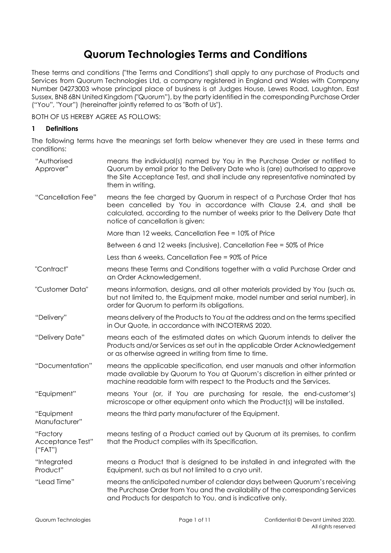# **Quorum Technologies Terms and Conditions**

These terms and conditions ("the Terms and Conditions") shall apply to any purchase of Products and Services from Quorum Technologies Ltd, a company registered in England and Wales with Company Number 04273003 whose principal place of business is at Judges House, Lewes Road, Laughton, East Sussex, BN8 6BN United Kingdom ("Quorum"), by the party identified in the corresponding Purchase Order ("You", "Your") (hereinafter jointly referred to as "Both of Us").

BOTH OF US HEREBY AGREE AS FOLLOWS:

## <span id="page-0-0"></span>**1 Definitions**

The following terms have the meanings set forth below whenever they are used in these terms and conditions:

| "Authorised<br>Approver"                | means the individual(s) named by You in the Purchase Order or notified to<br>Quorum by email prior to the Delivery Date who is (are) authorised to approve<br>the Site Acceptance Test, and shall include any representative nominated by<br>them in writing.    |
|-----------------------------------------|------------------------------------------------------------------------------------------------------------------------------------------------------------------------------------------------------------------------------------------------------------------|
| "Cancellation Fee"                      | means the fee charged by Quorum in respect of a Purchase Order that has<br>been cancelled by You in accordance with Clause 2.4, and shall be<br>calculated, according to the number of weeks prior to the Delivery Date that<br>notice of cancellation is given: |
|                                         | More than 12 weeks, Cancellation Fee = 10% of Price                                                                                                                                                                                                              |
|                                         | Between 6 and 12 weeks (inclusive), Cancellation Fee = 50% of Price                                                                                                                                                                                              |
|                                         | Less than 6 weeks, Cancellation Fee = 90% of Price                                                                                                                                                                                                               |
| "Contract"                              | means these Terms and Conditions together with a valid Purchase Order and<br>an Order Acknowledgement.                                                                                                                                                           |
| "Customer Data"                         | means information, designs, and all other materials provided by You (such as,<br>but not limited to, the Equipment make, model number and serial number), in<br>order for Quorum to perform its obligations.                                                     |
| "Delivery"                              | means delivery of the Products to You at the address and on the terms specified<br>in Our Quote, in accordance with INCOTERMS 2020.                                                                                                                              |
| "Delivery Date"                         | means each of the estimated dates on which Quorum intends to deliver the<br>Products and/or Services as set out in the applicable Order Acknowledgement<br>or as otherwise agreed in writing from time to time.                                                  |
| "Documentation"                         | means the applicable specification, end user manuals and other information<br>made available by Quorum to You at Quorum's discretion in either printed or<br>machine readable form with respect to the Products and the Services.                                |
| "Equipment"                             | means Your (or, if You are purchasing for resale, the end-customer's)<br>microscope or other equipment onto which the Product(s) will be installed.                                                                                                              |
| "Equipment<br>Manufacturer"             | means the third party manufacturer of the Equipment.                                                                                                                                                                                                             |
| "Factory<br>Acceptance Test"<br>("FAT") | means testing of a Product carried out by Quorum at its premises, to confirm<br>that the Product complies with its Specification.                                                                                                                                |
| "Integrated<br>Product"                 | means a Product that is designed to be installed in and integrated with the<br>Equipment, such as but not limited to a cryo unit.                                                                                                                                |
| "Lead Time"                             | means the anticipated number of calendar days between Quorum's receiving<br>the Purchase Order from You and the availability of the corresponding Services<br>and Products for despatch to You, and is indicative only.                                          |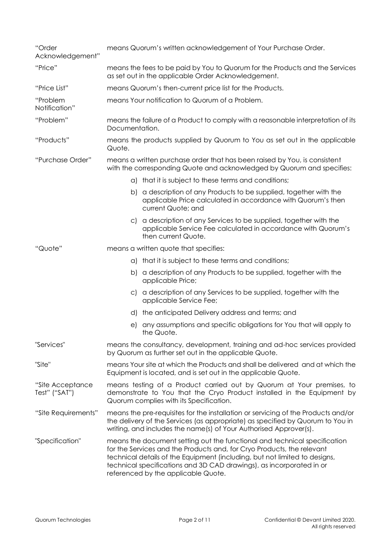| "Order<br>Acknowledgement"        | means Quorum's written acknowledgement of Your Purchase Order.                                                                                                                                                                                                                                                                                   |
|-----------------------------------|--------------------------------------------------------------------------------------------------------------------------------------------------------------------------------------------------------------------------------------------------------------------------------------------------------------------------------------------------|
| "Price"                           | means the fees to be paid by You to Quorum for the Products and the Services<br>as set out in the applicable Order Acknowledgement.                                                                                                                                                                                                              |
| "Price List"                      | means Quorum's then-current price list for the Products.                                                                                                                                                                                                                                                                                         |
| "Problem<br>Notification"         | means Your notification to Quorum of a Problem.                                                                                                                                                                                                                                                                                                  |
| "Problem"                         | means the failure of a Product to comply with a reasonable interpretation of its<br>Documentation.                                                                                                                                                                                                                                               |
| "Products"                        | means the products supplied by Quorum to You as set out in the applicable<br>Quote.                                                                                                                                                                                                                                                              |
| "Purchase Order"                  | means a written purchase order that has been raised by You, is consistent<br>with the corresponding Quote and acknowledged by Quorum and specifies:                                                                                                                                                                                              |
|                                   | a) that it is subject to these terms and conditions;                                                                                                                                                                                                                                                                                             |
|                                   | a description of any Products to be supplied, together with the<br>b)<br>applicable Price calculated in accordance with Quorum's then<br>current Quote; and                                                                                                                                                                                      |
|                                   | c) a description of any Services to be supplied, together with the<br>applicable Service Fee calculated in accordance with Quorum's<br>then current Quote.                                                                                                                                                                                       |
| "Quote"                           | means a written quote that specifies:                                                                                                                                                                                                                                                                                                            |
|                                   | that it is subject to these terms and conditions;<br>a)                                                                                                                                                                                                                                                                                          |
|                                   | a description of any Products to be supplied, together with the<br>b)<br>applicable Price;                                                                                                                                                                                                                                                       |
|                                   | c) a description of any Services to be supplied, together with the<br>applicable Service Fee;                                                                                                                                                                                                                                                    |
|                                   | the anticipated Delivery address and terms; and<br>d)                                                                                                                                                                                                                                                                                            |
|                                   | any assumptions and specific obligations for You that will apply to<br>e)<br>the Quote.                                                                                                                                                                                                                                                          |
| "Services"                        | means the consultancy, development, training and ad-hoc services provided<br>by Quorum as further set out in the applicable Quote.                                                                                                                                                                                                               |
| "Site"                            | means Your site at which the Products and shall be delivered and at which the<br>Equipment is located, and is set out in the applicable Quote.                                                                                                                                                                                                   |
| "Site Acceptance<br>Test" ("SAT") | means testing of a Product carried out by Quorum at Your premises, to<br>demonstrate to You that the Cryo Product installed in the Equipment by<br>Quorum complies with its Specification.                                                                                                                                                       |
| "Site Requirements"               | means the pre-requisites for the installation or servicing of the Products and/or<br>the delivery of the Services (as appropriate) as specified by Quorum to You in<br>writing, and includes the name(s) of Your Authorised Approver(s).                                                                                                         |
| "Specification"                   | means the document setting out the functional and technical specification<br>for the Services and the Products and, for Cryo Products, the relevant<br>technical details of the Equipment (including, but not limited to designs,<br>technical specifications and 3D CAD drawings), as incorporated in or<br>referenced by the applicable Quote. |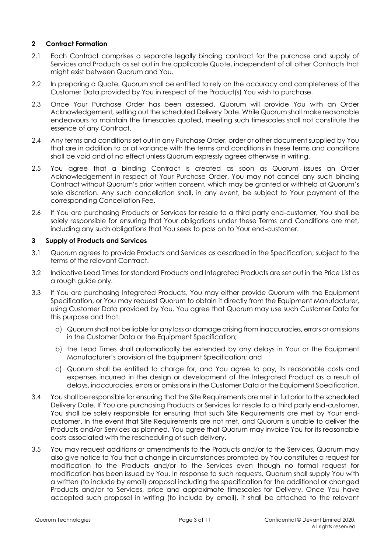# **2 Contract Formation**

- 2.1 Each Contract comprises a separate legally binding contract for the purchase and supply of Services and Products as set out in the applicable Quote, independent of all other Contracts that might exist between Quorum and You.
- 2.2 In preparing a Quote, Quorum shall be entitled to rely on the accuracy and completeness of the Customer Data provided by You in respect of the Product(s) You wish to purchase.
- 2.3 Once Your Purchase Order has been assessed, Quorum will provide You with an Order Acknowledgement, setting out the scheduled Delivery Date. While Quorum shall make reasonable endeavours to maintain the timescales quoted, meeting such timescales shall not constitute the essence of any Contract.
- <span id="page-2-0"></span>2.4 Any terms and conditions set out in any Purchase Order, order or other document supplied by You that are in addition to or at variance with the terms and conditions in these terms and conditions shall be void and of no effect unless Quorum expressly agrees otherwise in writing.
- <span id="page-2-4"></span>2.5 You agree that a binding Contract is created as soon as Quorum issues an Order Acknowledgement in respect of Your Purchase Order. You may not cancel any such binding Contract without Quorum's prior written consent, which may be granted or withheld at Quorum's sole discretion. Any such cancellation shall, in any event, be subject to Your payment of the corresponding Cancellation Fee.
- <span id="page-2-5"></span>2.6 If You are purchasing Products or Services for resale to a third party end-customer, You shall be solely responsible for ensuring that Your obligations under these Terms and Conditions are met, including any such obligations that You seek to pass on to Your end-customer.

## **3 Supply of Products and Services**

- 3.1 Quorum agrees to provide Products and Services as described in the Specification, subject to the terms of the relevant Contract.
- <span id="page-2-1"></span>3.2 Indicative Lead Times for standard Products and Integrated Products are set out in the Price List as a rough guide only.
- <span id="page-2-2"></span>3.3 If You are purchasing Integrated Products, You may either provide Quorum with the Equipment Specification, or You may request Quorum to obtain it directly from the Equipment Manufacturer, using Customer Data provided by You. You agree that Quorum may use such Customer Data for this purpose and that:
	- a) Quorum shall not be liable for any loss or damage arising from inaccuracies, errors or omissions in the Customer Data or the Equipment Specification;
	- b) the Lead Times shall automatically be extended by any delays in Your or the Equipment Manufacturer's provision of the Equipment Specification; and
	- c) Quorum shall be entitled to charge for, and You agree to pay, its reasonable costs and expenses incurred in the design or development of the Integrated Product as a result of delays, inaccuracies, errors or omissions in the Customer Data or the Equipment Specification.
- 3.4 You shall be responsible for ensuring that the Site Requirements are met in full prior to the scheduled Delivery Date. If You are purchasing Products or Services for resale to a third party end-customer, You shall be solely responsible for ensuring that such Site Requirements are met by Your endcustomer. In the event that Site Requirements are not met, and Quorum is unable to deliver the Products and/or Services as planned, You agree that Quorum may invoice You for its reasonable costs associated with the rescheduling of such delivery.
- <span id="page-2-3"></span>3.5 You may request additions or amendments to the Products and/or to the Services. Quorum may also give notice to You that a change in circumstances prompted by You constitutes a request for modification to the Products and/or to the Services even though no formal request for modification has been issued by You. In response to such requests, Quorum shall supply You with a written (to include by email) proposal including the specification for the additional or changed Products and/or to Services, price and approximate timescales for Delivery. Once You have accepted such proposal in writing (to include by email), it shall be attached to the relevant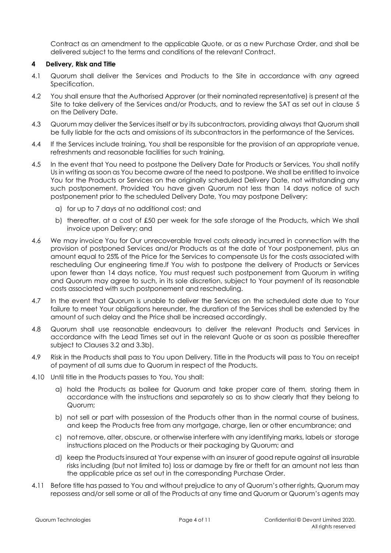Contract as an amendment to the applicable Quote, or as a new Purchase Order, and shall be delivered subject to the terms and conditions of the relevant Contract.

#### **4 Delivery, Risk and Title**

- 4.1 Quorum shall deliver the Services and Products to the Site in accordance with any agreed Specification.
- 4.2 You shall ensure that the Authorised Approver (or their nominated representative) is present at the Site to take delivery of the Services and/or Products, and to review the SAT as set out in clause [5](#page-4-0) on the Delivery Date.
- 4.3 Quorum may deliver the Services itself or by its subcontractors, providing always that Quorum shall be fully liable for the acts and omissions of its subcontractors in the performance of the Services.
- 4.4 If the Services include training, You shall be responsible for the provision of an appropriate venue, refreshments and reasonable facilities for such training.
- 4.5 In the event that You need to postpone the Delivery Date for Products or Services, You shall notify Us in writing as soon as You become aware of the need to postpone. We shall be entitled to invoice You for the Products or Services on the originally scheduled Delivery Date, not withstanding any such postponement. Provided You have given Quorum not less than 14 days notice of such postponement prior to the scheduled Delivery Date, You may postpone Delivery:
	- a) for up to 7 days at no additional cost; and
	- b) thereafter, at a cost of £50 per week for the safe storage of the Products, which We shall invoice upon Delivery; and
- 4.6 We may invoice You for Our unrecoverable travel costs already incurred in connection with the provision of postponed Services and/or Products as at the date of Your postponement, plus an amount equal to 25% of the Price for the Services to compensate Us for the costs associated with rescheduling Our engineering time.If You wish to postpone the delivery of Products or Services upon fewer than 14 days notice, You must request such postponement from Quorum in writing and Quorum may agree to such, in its sole discretion, subject to Your payment of its reasonable costs associated with such postponement and rescheduling.
- 4.7 In the event that Quorum is unable to deliver the Services on the scheduled date due to Your failure to meet Your obligations hereunder, the duration of the Services shall be extended by the amount of such delay and the Price shall be increased accordingly.
- 4.8 Quorum shall use reasonable endeavours to deliver the relevant Products and Services in accordance with the Lead Times set out in the relevant Quote or as soon as possible thereafter subject to Clauses [3.2](#page-2-1) and [3.3b\).](#page-2-2)
- 4.9 Risk in the Products shall pass to You upon Delivery. Title in the Products will pass to You on receipt of payment of all sums due to Quorum in respect of the Products.
- <span id="page-3-0"></span>4.10 Until title in the Products passes to You, You shall:
	- a) hold the Products as bailee for Quorum and take proper care of them, storing them in accordance with the instructions and separately so as to show clearly that they belong to Quorum;
	- b) not sell or part with possession of the Products other than in the normal course of business, and keep the Products free from any mortgage, charge, lien or other encumbrance; and
	- c) not remove, alter, obscure, or otherwise interfere with any identifying marks, labels or storage instructions placed on the Products or their packaging by Quorum; and
	- d) keep the Products insured at Your expense with an insurer of good repute against all insurable risks including (but not limited to) loss or damage by fire or theft for an amount not less than the applicable price as set out in the corresponding Purchase Order.
- <span id="page-3-1"></span>4.11 Before title has passed to You and without prejudice to any of Quorum's other rights, Quorum may repossess and/or sell some or all of the Products at any time and Quorum or Quorum's agents may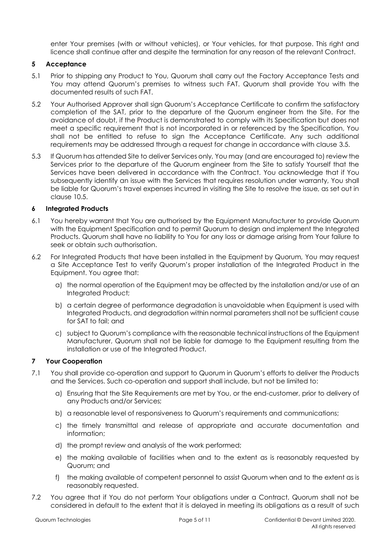enter Your premises (with or without vehicles), or Your vehicles, for that purpose. This right and licence shall continue after and despite the termination for any reason of the relevant Contract.

# <span id="page-4-0"></span>**5 Acceptance**

- 5.1 Prior to shipping any Product to You, Quorum shall carry out the Factory Acceptance Tests and You may attend Quorum's premises to witness such FAT. Quorum shall provide You with the documented results of such FAT.
- 5.2 Your Authorised Approver shall sign Quorum's Acceptance Certificate to confirm the satisfactory completion of the SAT, prior to the departure of the Quorum engineer from the Site. For the avoidance of doubt, if the Product is demonstrated to comply with its Specification but does not meet a specific requirement that is not incorporated in or referenced by the Specification, You shall not be entitled to refuse to sign the Acceptance Certificate. Any such additional requirements may be addressed through a request for change in accordance with clause [3.5.](#page-2-3)
- 5.3 If Quorum has attended Site to deliver Services only, You may (and are encouraged to) review the Services prior to the departure of the Quorum engineer from the Site to satisfy Yourself that the Services have been delivered in accordance with the Contract. You acknowledge that if You subsequently identify an issue with the Services that requires resolution under warranty, You shall be liable for Quorum's travel expenses incurred in visiting the Site to resolve the issue, as set out in claus[e 10.5.](#page-6-0)

## **6 Integrated Products**

- <span id="page-4-1"></span>6.1 You hereby warrant that You are authorised by the Equipment Manufacturer to provide Quorum with the Equipment Specification and to permit Quorum to design and implement the Integrated Products. Quorum shall have no liability to You for any loss or damage arising from Your failure to seek or obtain such authorisation.
- 6.2 For Integrated Products that have been installed in the Equipment by Quorum, You may request a Site Acceptance Test to verify Quorum's proper installation of the Integrated Product in the Equipment. You agree that:
	- a) the normal operation of the Equipment may be affected by the installation and/or use of an Integrated Product;
	- b) a certain degree of performance degradation is unavoidable when Equipment is used with Integrated Products, and degradation within normal parameters shall not be sufficient cause for SAT to fail; and
	- c) subject to Quorum's compliance with the reasonable technical instructions of the Equipment Manufacturer, Quorum shall not be liable for damage to the Equipment resulting from the installation or use of the Integrated Product.

#### **7 Your Cooperation**

- 7.1 You shall provide co-operation and support to Quorum in Quorum's efforts to deliver the Products and the Services. Such co-operation and support shall include, but not be limited to:
	- a) Ensuring that the Site Requirements are met by You, or the end-customer, prior to delivery of any Products and/or Services;
	- b) a reasonable level of responsiveness to Quorum's requirements and communications;
	- c) the timely transmittal and release of appropriate and accurate documentation and information;
	- d) the prompt review and analysis of the work performed;
	- e) the making available of facilities when and to the extent as is reasonably requested by Quorum; and
	- f) the making available of competent personnel to assist Quorum when and to the extent as is reasonably requested.
- 7.2 You agree that if You do not perform Your obligations under a Contract, Quorum shall not be considered in default to the extent that it is delayed in meeting its obligations as a result of such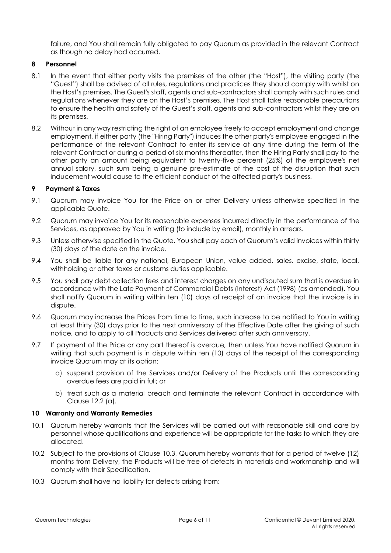failure, and You shall remain fully obligated to pay Quorum as provided in the relevant Contract as though no delay had occurred.

#### **8 Personnel**

- 8.1 In the event that either party visits the premises of the other (the "Host"), the visiting party (the "Guest") shall be advised of all rules, regulations and practices they should comply with whilst on the Host's premises. The Guest's staff, agents and sub-contractors shall comply with such rules and regulations whenever they are on the Host's premises. The Host shall take reasonable precautions to ensure the health and safety of the Guest's staff, agents and sub-contractors whilst they are on its premises.
- <span id="page-5-4"></span>8.2 Without in any way restricting the right of an employee freely to accept employment and change employment, if either party (the "Hiring Party") induces the other party's employee engaged in the performance of the relevant Contract to enter its service at any time during the term of the relevant Contract or during a period of six months thereafter, then the Hiring Party shall pay to the other party an amount being equivalent to twenty-five percent (25%) of the employee's net annual salary, such sum being a genuine pre-estimate of the cost of the disruption that such inducement would cause to the efficient conduct of the affected party's business.

## <span id="page-5-5"></span>**9 Payment & Taxes**

- 9.1 Quorum may invoice You for the Price on or after Delivery unless otherwise specified in the applicable Quote.
- 9.2 Quorum may invoice You for its reasonable expenses incurred directly in the performance of the Services, as approved by You in writing (to include by email), monthly in arrears.
- 9.3 Unless otherwise specified in the Quote, You shall pay each of Quorum's valid invoices within thirty (30) days of the date on the invoice.
- 9.4 You shall be liable for any national, European Union, value added, sales, excise, state, local, withholding or other taxes or customs duties applicable.
- 9.5 You shall pay debt collection fees and interest charges on any undisputed sum that is overdue in accordance with the Late Payment of Commercial Debts (Interest) Act (1998) (as amended). You shall notify Quorum in writing within ten (10) days of receipt of an invoice that the invoice is in dispute.
- 9.6 Quorum may increase the Prices from time to time, such increase to be notified to You in writing at least thirty (30) days prior to the next anniversary of the Effective Date after the giving of such notice, and to apply to all Products and Services delivered after such anniversary.
- 9.7 If payment of the Price or any part thereof is overdue, then unless You have notified Quorum in writing that such payment is in dispute within ten (10) days of the receipt of the corresponding invoice Quorum may at its option:
	- a) suspend provision of the Services and/or Delivery of the Products until the corresponding overdue fees are paid in full; or
	- b) treat such as a material breach and terminate the relevant Contract in accordance with Clause [12.2](#page-7-0) (a).

#### <span id="page-5-1"></span>**10 Warranty and Warranty Remedies**

- <span id="page-5-2"></span>10.1 Quorum hereby warrants that the Services will be carried out with reasonable skill and care by personnel whose qualifications and experience will be appropriate for the tasks to which they are allocated.
- <span id="page-5-3"></span>10.2 Subject to the provisions of Clause [10.3,](#page-5-0) Quorum hereby warrants that for a period of twelve (12) months from Delivery, the Products will be free of defects in materials and workmanship and will comply with their Specification.
- <span id="page-5-0"></span>10.3 Quorum shall have no liability for defects arising from: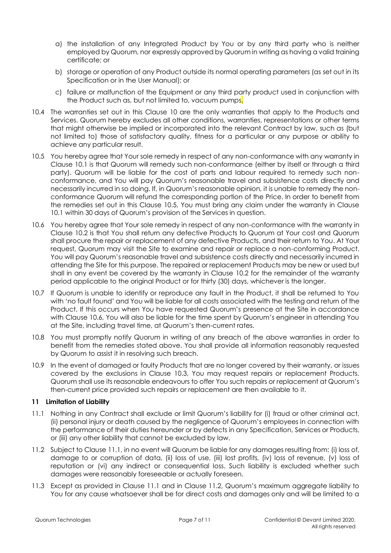- a) the installation of any Integrated Product by You or by any third party who is neither employed by Quorum, nor expressly approved by Quorum in writing as having a valid training certificate; or
- b) storage or operation of any Product outside its normal operating parameters (as set out in its Specification or in the User Manual); or
- c) failure or malfunction of the Equipment or any third party product used in conjunction with the Product such as, but not limited to, vacuum pumps.
- 10.4 The warranties set out in this Clause [10](#page-5-1) are the only warranties that apply to the Products and Services. Quorum hereby excludes all other conditions, warranties, representations or other terms that might otherwise be implied or incorporated into the relevant Contract by law, such as (but not limited to) those of satisfactory quality, fitness for a particular or any purpose or ability to achieve any particular result.
- <span id="page-6-0"></span>10.5 You hereby agree that Your sole remedy in respect of any non-conformance with any warranty in Clause [10.1](#page-5-2) is that Quorum will remedy such non-conformance (either by itself or through a third party). Quorum will be liable for the cost of parts and labour required to remedy such nonconformance, and You will pay Quorum's reasonable travel and subsistence costs directly and necessarily incurred in so doing. If, in Quorum's reasonable opinion, it is unable to remedy the nonconformance Quorum will refund the corresponding portion of the Price. In order to benefit from the remedies set out in this Clause [10.5,](#page-6-0) You must bring any claim under the warranty in Clause [10.1](#page-5-2) within 30 days of Quorum's provision of the Services in question.
- <span id="page-6-1"></span>10.6 You hereby agree that Your sole remedy in respect of any non-conformance with the warranty in Clause [10.2](#page-5-3) is that You shall return any defective Products to Quorum at Your cost and Quorum shall procure the repair or replacement of any defective Products, and their return to You. At Your request, Quorum may visit the Site to examine and repair or replace a non-conforming Product. You will pay Quorum's reasonable travel and subsistence costs directly and necessarily incurred in attending the Site for this purpose. The repaired or replacement Products may be new or used but shall in any event be covered by the warranty in Clause [10.2](#page-5-3) for the remainder of the warranty period applicable to the original Product or for thirty (30) days, whichever is the longer.
- 10.7 If Quorum is unable to identify or reproduce any fault in the Product, it shall be returned to You with 'no fault found' and You will be liable for all costs associated with the testing and return of the Product. If this occurs when You have requested Quorum's presence at the Site in accordance with Clause [10.6,](#page-6-1) You will also be liable for the time spent by Quorum's engineer in attending You at the Site, including travel time, at Quorum's then-current rates.
- 10.8 You must promptly notify Quorum in writing of any breach of the above warranties in order to benefit from the remedies stated above. You shall provide all information reasonably requested by Quorum to assist it in resolving such breach.
- 10.9 In the event of damaged or faulty Products that are no longer covered by their warranty, or issues covered by the exclusions in Clause [10.3,](#page-5-0) You may request repairs or replacement Products. Quorum shall use its reasonable endeavours to offer You such repairs or replacement at Quorum's then-current price provided such repairs or replacement are then available to it.

# <span id="page-6-4"></span>**11 Limitation of Liability**

- <span id="page-6-2"></span>11.1 Nothing in any Contract shall exclude or limit Quorum's liability for (i) fraud or other criminal act, (ii) personal injury or death caused by the negligence of Quorum's employees in connection with the performance of their duties hereunder or by defects in any Specification, Services or Products, or (iii) any other liability that cannot be excluded by law.
- <span id="page-6-3"></span>11.2 Subject to Clause [11.1,](#page-6-2) in no event will Quorum be liable for any damages resulting from: (i) loss of, damage to or corruption of data, (ii) loss of use, (iii) lost profits, (iv) loss of revenue, (v) loss of reputation or (vi) any indirect or consequential loss. Such liability is excluded whether such damages were reasonably foreseeable or actually foreseen.
- 11.3 Except as provided in Clause [11.1](#page-6-2) and in Clause [11.2](#page-6-3), Quorum's maximum aggregate liability to You for any cause whatsoever shall be for direct costs and damages only and will be limited to a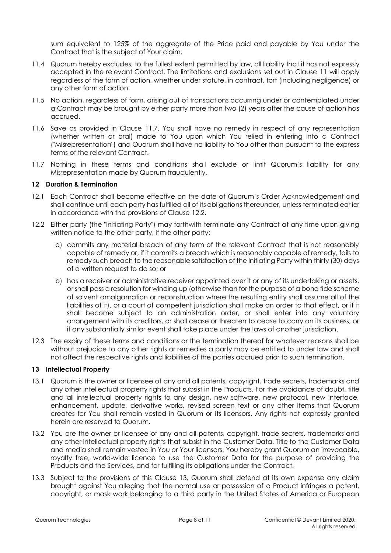sum equivalent to 125% of the aggregate of the Price paid and payable by You under the Contract that is the subject of Your claim.

- 11.4 Quorum hereby excludes, to the fullest extent permitted by law, all liability that it has not expressly accepted in the relevant Contract. The limitations and exclusions set out in Clause [11](#page-6-4) will apply regardless of the form of action, whether under statute, in contract, tort (including negligence) or any other form of action.
- 11.5 No action, regardless of form, arising out of transactions occurring under or contemplated under a Contract may be brought by either party more than two (2) years after the cause of action has accrued.
- 11.6 Save as provided in Clause [11.7,](#page-7-1) You shall have no remedy in respect of any representation (whether written or oral) made to You upon which You relied in entering into a Contract ("Misrepresentation") and Quorum shall have no liability to You other than pursuant to the express terms of the relevant Contract.
- <span id="page-7-1"></span>11.7 Nothing in these terms and conditions shall exclude or limit Quorum's liability for any Misrepresentation made by Quorum fraudulently.

## **12 Duration & Termination**

- 12.1 Each Contract shall become effective on the date of Quorum's Order Acknowledgement and shall continue until each party has fulfilled all of its obligations thereunder, unless terminated earlier in accordance with the provisions of Clause [12.2.](#page-7-0)
- <span id="page-7-0"></span>12.2 Either party (the "Initiating Party") may forthwith terminate any Contract at any time upon giving written notice to the other party, if the other party:
	- a) commits any material breach of any term of the relevant Contract that is not reasonably capable of remedy or, if it commits a breach which is reasonably capable of remedy, fails to remedy such breach to the reasonable satisfaction of the Initiating Party within thirty (30) days of a written request to do so; or
	- b) has a receiver or administrative receiver appointed over it or any of its undertaking or assets, or shall pass a resolution for winding up (otherwise than for the purpose of a bona fide scheme of solvent amalgamation or reconstruction where the resulting entity shall assume all of the liabilities of it), or a court of competent jurisdiction shall make an order to that effect, or if it shall become subject to an administration order, or shall enter into any voluntary arrangement with its creditors, or shall cease or threaten to cease to carry on its business, or if any substantially similar event shall take place under the laws of another jurisdiction.
- <span id="page-7-3"></span>12.3 The expiry of these terms and conditions or the termination thereof for whatever reasons shall be without prejudice to any other rights or remedies a party may be entitled to under law and shall not affect the respective rights and liabilities of the parties accrued prior to such termination.

## <span id="page-7-2"></span>**13 Intellectual Property**

- 13.1 Quorum is the owner or licensee of any and all patents, copyright, trade secrets, trademarks and any other intellectual property rights that subsist in the Products. For the avoidance of doubt, title and all intellectual property rights to any design, new software, new protocol, new interface, enhancement, update, derivative works, revised screen text or any other items that Quorum creates for You shall remain vested in Quorum or its licensors. Any rights not expressly granted herein are reserved to Quorum.
- 13.2 You are the owner or licensee of any and all patents, copyright, trade secrets, trademarks and any other intellectual property rights that subsist in the Customer Data. Title to the Customer Data and media shall remain vested in You or Your licensors. You hereby grant Quorum an irrevocable, royalty free, world-wide licence to use the Customer Data for the purpose of providing the Products and the Services, and for fulfilling its obligations under the Contract.
- 13.3 Subject to the provisions of this Clause [13,](#page-7-2) Quorum shall defend at its own expense any claim brought against You alleging that the normal use or possession of a Product infringes a patent, copyright, or mask work belonging to a third party in the United States of America or European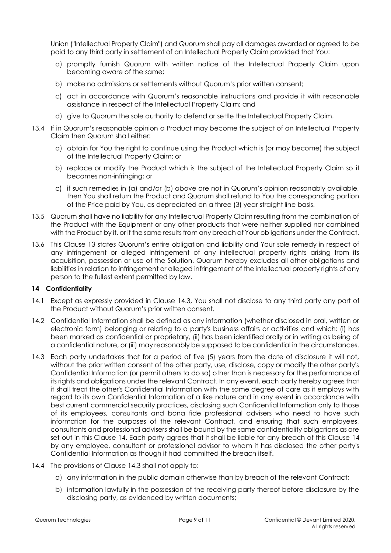Union ("Intellectual Property Claim") and Quorum shall pay all damages awarded or agreed to be paid to any third party in settlement of an Intellectual Property Claim provided that You:

- a) promptly furnish Quorum with written notice of the Intellectual Property Claim upon becoming aware of the same;
- b) make no admissions or settlements without Quorum's prior written consent;
- c) act in accordance with Quorum's reasonable instructions and provide it with reasonable assistance in respect of the Intellectual Property Claim; and
- d) give to Quorum the sole authority to defend or settle the Intellectual Property Claim.
- 13.4 If in Quorum's reasonable opinion a Product may become the subject of an Intellectual Property Claim then Quorum shall either:
	- a) obtain for You the right to continue using the Product which is (or may become) the subject of the Intellectual Property Claim; or
	- b) replace or modify the Product which is the subject of the Intellectual Property Claim so it becomes non-infringing; or
	- c) if such remedies in (a) and/or (b) above are not in Quorum's opinion reasonably available, then You shall return the Product and Quorum shall refund to You the corresponding portion of the Price paid by You, as depreciated on a three (3) year straight line basis.
- 13.5 Quorum shall have no liability for any Intellectual Property Claim resulting from the combination of the Product with the Equipment or any other products that were neither supplied nor combined with the Product by it, or if the same results from any breach of Your obligations under the Contract.
- 13.6 This Clause [13](#page-7-2) states Quorum's entire obligation and liability and Your sole remedy in respect of any infringement or alleged infringement of any intellectual property rights arising from its acquisition, possession or use of the Solution. Quorum hereby excludes all other obligations and liabilities in relation to infringement or alleged infringement of the intellectual property rights of any person to the fullest extent permitted by law.

#### <span id="page-8-1"></span>**14 Confidentiality**

- 14.1 Except as expressly provided in Clause [14.3,](#page-8-0) You shall not disclose to any third party any part of the Product without Quorum's prior written consent.
- 14.2 Confidential Information shall be defined as any information (whether disclosed in oral, written or electronic form) belonging or relating to a party's business affairs or activities and which: (i) has been marked as confidential or proprietary, (ii) has been identified orally or in writing as being of a confidential nature, or (iii) may reasonably be supposed to be confidential in the circumstances.
- <span id="page-8-0"></span>14.3 Each party undertakes that for a period of five (5) years from the date of disclosure it will not, without the prior written consent of the other party, use, disclose, copy or modify the other party's Confidential Information (or permit others to do so) other than is necessary for the performance of its rights and obligations under the relevant Contract. In any event, each party hereby agrees that it shall treat the other's Confidential Information with the same degree of care as it employs with regard to its own Confidential Information of a like nature and in any event in accordance with best current commercial security practices, disclosing such Confidential Information only to those of its employees, consultants and bona fide professional advisers who need to have such information for the purposes of the relevant Contract, and ensuring that such employees, consultants and professional advisers shall be bound by the same confidentiality obligations as are set out in this Clause [14.](#page-8-1) Each party agrees that it shall be liable for any breach of this Clause [14](#page-8-1) by any employee, consultant or professional advisor to whom it has disclosed the other party's Confidential Information as though it had committed the breach itself.
- 14.4 The provisions of Clause [14.3](#page-8-0) shall not apply to:
	- a) any information in the public domain otherwise than by breach of the relevant Contract;
	- b) information lawfully in the possession of the receiving party thereof before disclosure by the disclosing party, as evidenced by written documents;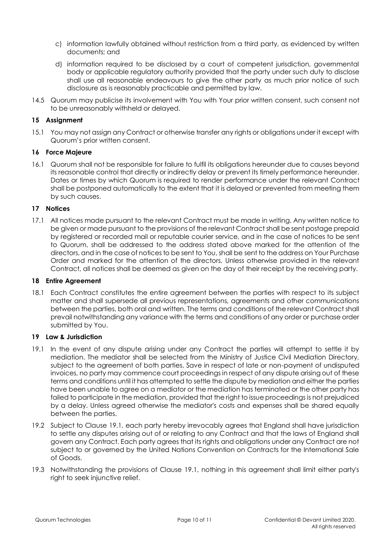- c) information lawfully obtained without restriction from a third party, as evidenced by written documents; and
- d) information required to be disclosed by a court of competent jurisdiction, governmental body or applicable regulatory authority provided that the party under such duty to disclose shall use all reasonable endeavours to give the other party as much prior notice of such disclosure as is reasonably practicable and permitted by law.
- 14.5 Quorum may publicise its involvement with You with Your prior written consent, such consent not to be unreasonably withheld or delayed.

## **15 Assignment**

15.1 You may not assign any Contract or otherwise transfer any rights or obligations under it except with Quorum's prior written consent.

## **16 Force Majeure**

16.1 Quorum shall not be responsible for failure to fulfil its obligations hereunder due to causes beyond its reasonable control that directly or indirectly delay or prevent its timely performance hereunder. Dates or times by which Quorum is required to render performance under the relevant Contract shall be postponed automatically to the extent that it is delayed or prevented from meeting them by such causes.

## <span id="page-9-1"></span>**17 Notices**

17.1 All notices made pursuant to the relevant Contract must be made in writing. Any written notice to be given or made pursuant to the provisions of the relevant Contract shall be sent postage prepaid by registered or recorded mail or reputable courier service, and in the case of notices to be sent to Quorum, shall be addressed to the address stated above marked for the attention of the directors, and in the case of notices to be sent to You, shall be sent to the address on Your Purchase Order and marked for the attention of the directors. Unless otherwise provided in the relevant Contract, all notices shall be deemed as given on the day of their receipt by the receiving party.

#### **18 Entire Agreement**

18.1 Each Contract constitutes the entire agreement between the parties with respect to its subject matter and shall supersede all previous representations, agreements and other communications between the parties, both oral and written. The terms and conditions of the relevant Contract shall prevail notwithstanding any variance with the terms and conditions of any order or purchase order submitted by You.

#### **19 Law & Jurisdiction**

- <span id="page-9-0"></span>19.1 In the event of any dispute arising under any Contract the parties will attempt to settle it by mediation. The mediator shall be selected from the Ministry of Justice Civil Mediation Directory, subject to the agreement of both parties. Save in respect of late or non-payment of undisputed invoices, no party may commence court proceedings in respect of any dispute arising out of these terms and conditions until it has attempted to settle the dispute by mediation and either the parties have been unable to agree on a mediator or the mediation has terminated or the other party has failed to participate in the mediation, provided that the right to issue proceedings is not prejudiced by a delay. Unless agreed otherwise the mediator's costs and expenses shall be shared equally between the parties.
- 19.2 Subject to Clause [19.1,](#page-9-0) each party hereby irrevocably agrees that England shall have jurisdiction to settle any disputes arising out of or relating to any Contract and that the laws of England shall govern any Contract. Each party agrees that its rights and obligations under any Contract are not subject to or governed by the United Nations Convention on Contracts for the International Sale of Goods.
- 19.3 Notwithstanding the provisions of Clause [19.1,](#page-9-0) nothing in this agreement shall limit either party's right to seek injunctive relief.